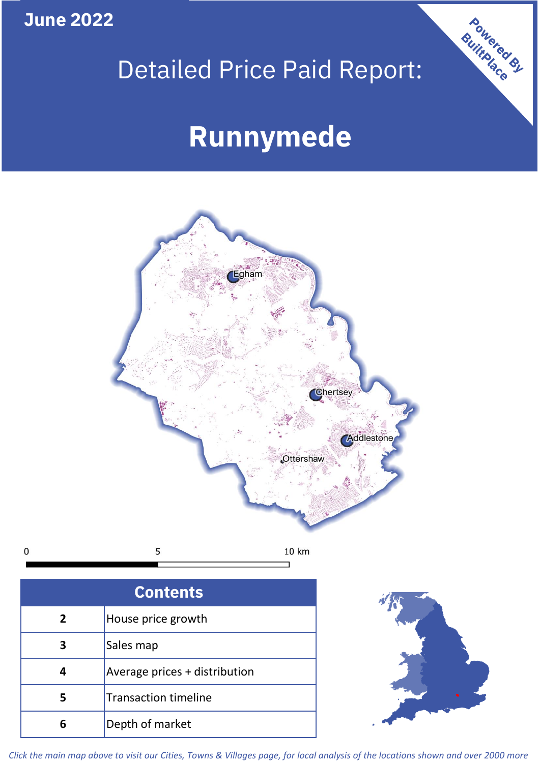**June 2022**

 $\mathbf 0$ 

## Detailed Price Paid Report:

# **Runnymede**



| <b>Contents</b> |                               |  |  |
|-----------------|-------------------------------|--|--|
| $\overline{2}$  | House price growth            |  |  |
| 3               | Sales map                     |  |  |
| 4               | Average prices + distribution |  |  |
| 5               | <b>Transaction timeline</b>   |  |  |
|                 | Depth of market               |  |  |



Powered By

*Click the main map above to visit our Cities, Towns & Villages page, for local analysis of the locations shown and over 2000 more*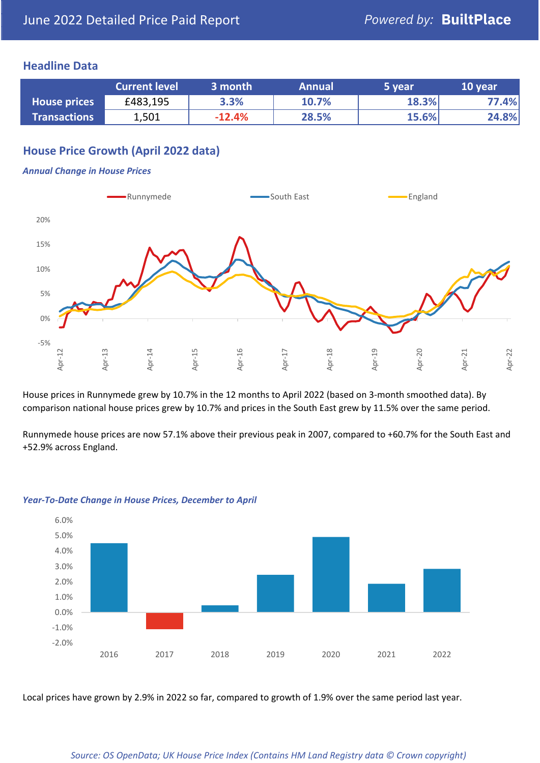### **Headline Data**

|                     | <b>Current level</b> | 3 month  | <b>Annual</b> | 5 year | 10 year |
|---------------------|----------------------|----------|---------------|--------|---------|
| <b>House prices</b> | £483,195             | 3.3%     | 10.7%         | 18.3%  | 77.4%   |
| <b>Transactions</b> | 1,501                | $-12.4%$ | 28.5%         | 15.6%  | 24.8%   |

## **House Price Growth (April 2022 data)**

#### *Annual Change in House Prices*



House prices in Runnymede grew by 10.7% in the 12 months to April 2022 (based on 3-month smoothed data). By comparison national house prices grew by 10.7% and prices in the South East grew by 11.5% over the same period.

Runnymede house prices are now 57.1% above their previous peak in 2007, compared to +60.7% for the South East and +52.9% across England.



#### *Year-To-Date Change in House Prices, December to April*

Local prices have grown by 2.9% in 2022 so far, compared to growth of 1.9% over the same period last year.

#### *Source: OS OpenData; UK House Price Index (Contains HM Land Registry data © Crown copyright)*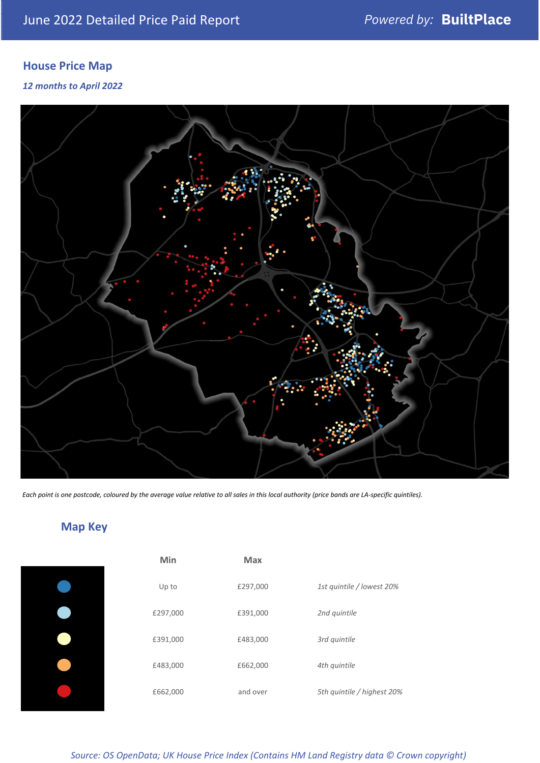## **House Price Map**

### *12 months to April 2022*



*Each point is one postcode, coloured by the average value relative to all sales in this local authority (price bands are LA-specific quintiles).*

## **Map Key**

| Min      | Max      |                            |
|----------|----------|----------------------------|
| Up to    | £297,000 | 1st quintile / lowest 20%  |
| £297,000 | £391,000 | 2nd quintile               |
| £391,000 | £483,000 | 3rd quintile               |
| £483,000 | £662,000 | 4th quintile               |
| £662,000 | and over | 5th quintile / highest 20% |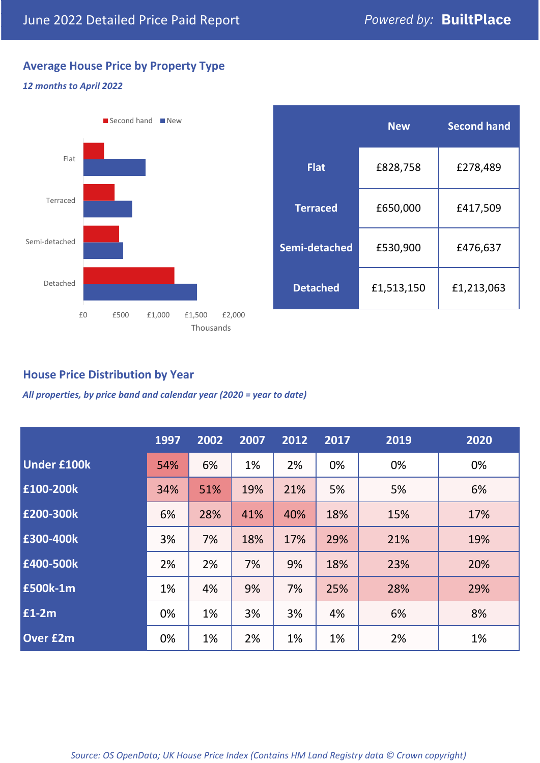## **Average House Price by Property Type**

### *12 months to April 2022*



|                 | <b>New</b> | <b>Second hand</b> |  |  |
|-----------------|------------|--------------------|--|--|
| <b>Flat</b>     | £828,758   | £278,489           |  |  |
| <b>Terraced</b> | £650,000   | £417,509           |  |  |
| Semi-detached   | £530,900   | £476,637           |  |  |
| <b>Detached</b> | £1,513,150 | £1,213,063         |  |  |

## **House Price Distribution by Year**

*All properties, by price band and calendar year (2020 = year to date)*

|                    | 1997 | 2002 | 2007 | 2012 | 2017 | 2019 | 2020 |
|--------------------|------|------|------|------|------|------|------|
| <b>Under £100k</b> | 54%  | 6%   | 1%   | 2%   | 0%   | 0%   | 0%   |
| £100-200k          | 34%  | 51%  | 19%  | 21%  | 5%   | 5%   | 6%   |
| E200-300k          | 6%   | 28%  | 41%  | 40%  | 18%  | 15%  | 17%  |
| £300-400k          | 3%   | 7%   | 18%  | 17%  | 29%  | 21%  | 19%  |
| £400-500k          | 2%   | 2%   | 7%   | 9%   | 18%  | 23%  | 20%  |
| <b>£500k-1m</b>    | 1%   | 4%   | 9%   | 7%   | 25%  | 28%  | 29%  |
| £1-2m              | 0%   | 1%   | 3%   | 3%   | 4%   | 6%   | 8%   |
| <b>Over £2m</b>    | 0%   | 1%   | 2%   | 1%   | 1%   | 2%   | 1%   |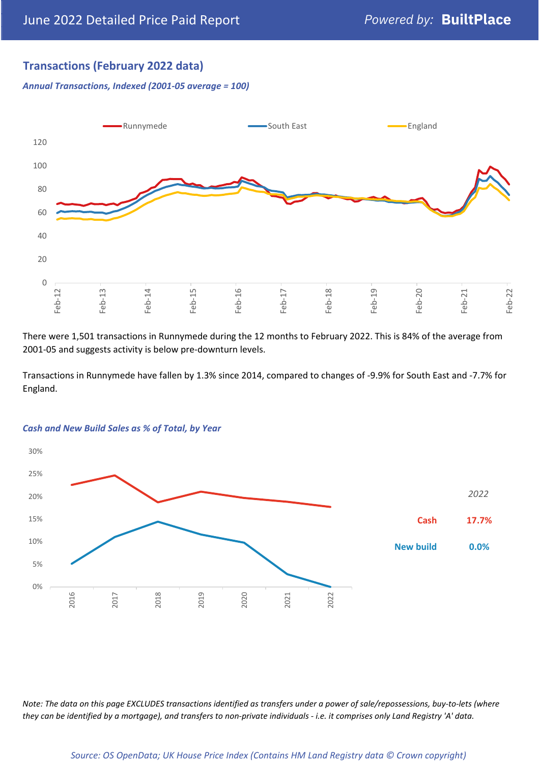## **Transactions (February 2022 data)**

*Annual Transactions, Indexed (2001-05 average = 100)*



There were 1,501 transactions in Runnymede during the 12 months to February 2022. This is 84% of the average from 2001-05 and suggests activity is below pre-downturn levels.

Transactions in Runnymede have fallen by 1.3% since 2014, compared to changes of -9.9% for South East and -7.7% for England.



#### *Cash and New Build Sales as % of Total, by Year*

*Note: The data on this page EXCLUDES transactions identified as transfers under a power of sale/repossessions, buy-to-lets (where they can be identified by a mortgage), and transfers to non-private individuals - i.e. it comprises only Land Registry 'A' data.*